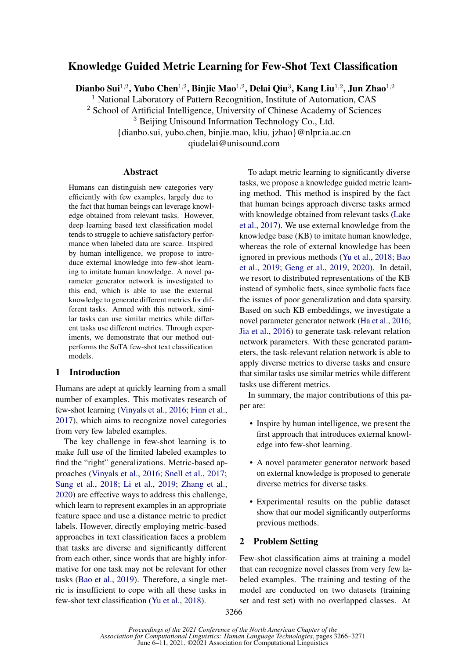# Knowledge Guided Metric Learning for Few-Shot Text Classification

Dianbo Sui $^{1,2}$ , Yubo Chen $^{1,2}$ , Binjie Mao $^{1,2}$ , Delai Qiu $^3$ , Kang Liu $^{1,2}$ , Jun Zhao $^{1,2}$ 

<sup>1</sup> National Laboratory of Pattern Recognition, Institute of Automation, CAS

<sup>2</sup> School of Artificial Intelligence, University of Chinese Academy of Sciences

<sup>3</sup> Beijing Unisound Information Technology Co., Ltd.

{dianbo.sui, yubo.chen, binjie.mao, kliu, jzhao}@nlpr.ia.ac.cn

qiudelai@unisound.com

#### Abstract

Humans can distinguish new categories very efficiently with few examples, largely due to the fact that human beings can leverage knowledge obtained from relevant tasks. However, deep learning based text classification model tends to struggle to achieve satisfactory performance when labeled data are scarce. Inspired by human intelligence, we propose to introduce external knowledge into few-shot learning to imitate human knowledge. A novel parameter generator network is investigated to this end, which is able to use the external knowledge to generate different metrics for different tasks. Armed with this network, similar tasks can use similar metrics while different tasks use different metrics. Through experiments, we demonstrate that our method outperforms the SoTA few-shot text classification models.

# 1 Introduction

Humans are adept at quickly learning from a small number of examples. This motivates research of few-shot learning [\(Vinyals et al.,](#page-5-0) [2016;](#page-5-0) [Finn et al.,](#page-4-0) [2017\)](#page-4-0), which aims to recognize novel categories from very few labeled examples.

The key challenge in few-shot learning is to make full use of the limited labeled examples to find the "right" generalizations. Metric-based approaches [\(Vinyals et al.,](#page-5-0) [2016;](#page-5-0) [Snell et al.,](#page-5-1) [2017;](#page-5-1) [Sung et al.,](#page-5-2) [2018;](#page-5-2) [Li et al.,](#page-4-1) [2019;](#page-4-1) [Zhang et al.,](#page-5-3) [2020\)](#page-5-3) are effective ways to address this challenge, which learn to represent examples in an appropriate feature space and use a distance metric to predict labels. However, directly employing metric-based approaches in text classification faces a problem that tasks are diverse and significantly different from each other, since words that are highly informative for one task may not be relevant for other tasks [\(Bao et al.,](#page-4-2) [2019\)](#page-4-2). Therefore, a single metric is insufficient to cope with all these tasks in few-shot text classification [\(Yu et al.,](#page-5-4) [2018\)](#page-5-4).

To adapt metric learning to significantly diverse tasks, we propose a knowledge guided metric learning method. This method is inspired by the fact that human beings approach diverse tasks armed with knowledge obtained from relevant tasks [\(Lake](#page-4-3) [et al.,](#page-4-3) [2017\)](#page-4-3). We use external knowledge from the knowledge base (KB) to imitate human knowledge, whereas the role of external knowledge has been ignored in previous methods [\(Yu et al.,](#page-5-4) [2018;](#page-5-4) [Bao](#page-4-2) [et al.,](#page-4-2) [2019;](#page-4-2) [Geng et al.,](#page-4-4) [2019,](#page-4-4) [2020\)](#page-4-5). In detail, we resort to distributed representations of the KB instead of symbolic facts, since symbolic facts face the issues of poor generalization and data sparsity. Based on such KB embeddings, we investigate a novel parameter generator network [\(Ha et al.,](#page-4-6) [2016;](#page-4-6) [Jia et al.,](#page-4-7) [2016\)](#page-4-7) to generate task-relevant relation network parameters. With these generated parameters, the task-relevant relation network is able to apply diverse metrics to diverse tasks and ensure that similar tasks use similar metrics while different tasks use different metrics.

In summary, the major contributions of this paper are:

- Inspire by human intelligence, we present the first approach that introduces external knowledge into few-shot learning.
- A novel parameter generator network based on external knowledge is proposed to generate diverse metrics for diverse tasks.
- Experimental results on the public dataset show that our model significantly outperforms previous methods.

# 2 Problem Setting

Few-shot classification aims at training a model that can recognize novel classes from very few labeled examples. The training and testing of the model are conducted on two datasets (training set and test set) with no overlapped classes. At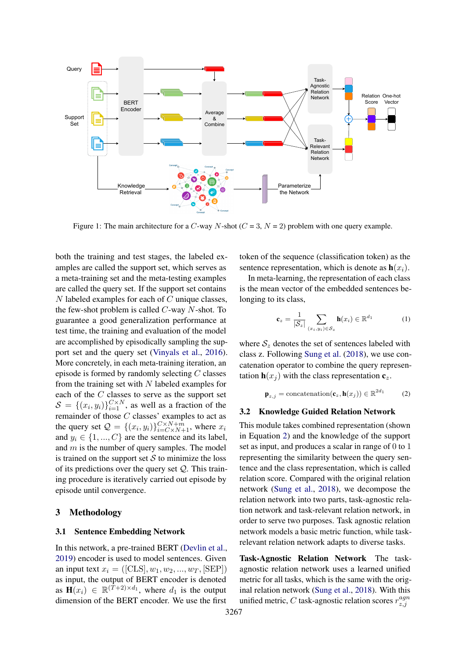

Figure 1: The main architecture for a C-way N-shot ( $C = 3$ ,  $N = 2$ ) problem with one query example.

both the training and test stages, the labeled examples are called the support set, which serves as a meta-training set and the meta-testing examples are called the query set. If the support set contains  $N$  labeled examples for each of  $C$  unique classes, the few-shot problem is called C-way N-shot. To guarantee a good generalization performance at test time, the training and evaluation of the model are accomplished by episodically sampling the support set and the query set [\(Vinyals et al.,](#page-5-0) [2016\)](#page-5-0). More concretely, in each meta-training iteration, an episode is formed by randomly selecting C classes from the training set with  $N$  labeled examples for each of the C classes to serve as the support set  $S = \{(x_i, y_i)\}_{i=1}^{C \times N}$ , as well as a fraction of the remainder of those C classes' examples to act as the query set  $\mathcal{Q} = \{(x_i, y_i)\}_{i=C \times N+1}^{C \times N+m}$ , where  $x_i$ and  $y_i \in \{1, ..., C\}$  are the sentence and its label, and  $m$  is the number of query samples. The model is trained on the support set  $S$  to minimize the loss of its predictions over the query set  $Q$ . This training procedure is iteratively carried out episode by episode until convergence.

## 3 Methodology

# 3.1 Sentence Embedding Network

In this network, a pre-trained BERT [\(Devlin et al.,](#page-4-8) [2019\)](#page-4-8) encoder is used to model sentences. Given an input text  $x_i = ([CLS], w_1, w_2, ..., w_T, [SEP])$ as input, the output of BERT encoder is denoted as  $\mathbf{H}(x_i) \in \mathbb{R}^{(T+2) \times d_1}$ , where  $d_1$  is the output dimension of the BERT encoder. We use the first

token of the sequence (classification token) as the sentence representation, which is denote as  $h(x_i)$ .

In meta-learning, the representation of each class is the mean vector of the embedded sentences belonging to its class,

$$
\mathbf{c}_z = \frac{1}{|\mathcal{S}_z|} \sum_{(x_i, y_i) \in \mathcal{S}_z} \mathbf{h}(x_i) \in \mathbb{R}^{d_1}
$$
 (1)

where  $S_z$  denotes the set of sentences labeled with class z. Following [Sung et al.](#page-5-2) [\(2018\)](#page-5-2), we use concatenation operator to combine the query representation  $h(x_i)$  with the class representation  $c_z$ .

<span id="page-1-0"></span>
$$
\mathbf{p}_{z,j} = \text{concatenation}(\mathbf{c}_z, \mathbf{h}(x_j)) \in \mathbb{R}^{2d_1} \tag{2}
$$

#### 3.2 Knowledge Guided Relation Network

This module takes combined representation (shown in Equation [2\)](#page-1-0) and the knowledge of the support set as input, and produces a scalar in range of 0 to 1 representing the similarity between the query sentence and the class representation, which is called relation score. Compared with the original relation network [\(Sung et al.,](#page-5-2) [2018\)](#page-5-2), we decompose the relation network into two parts, task-agnostic relation network and task-relevant relation network, in order to serve two purposes. Task agnostic relation network models a basic metric function, while taskrelevant relation network adapts to diverse tasks.

Task-Agnostic Relation Network The taskagnostic relation network uses a learned unified metric for all tasks, which is the same with the original relation network [\(Sung et al.,](#page-5-2) [2018\)](#page-5-2). With this unified metric, C task-agnostic relation scores  $r_{z,i}^{agn}$ z,j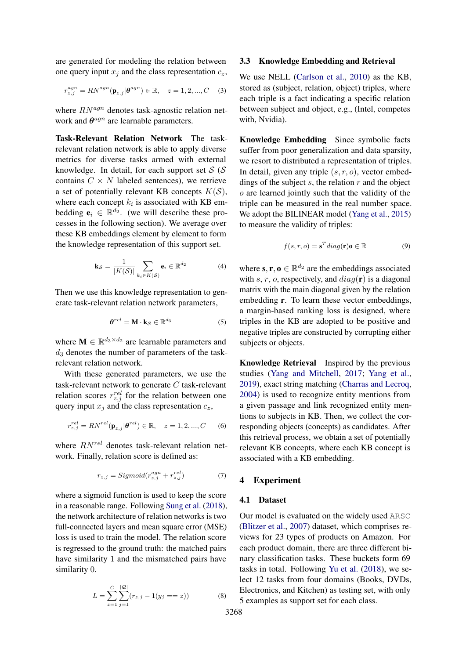are generated for modeling the relation between one query input  $x_j$  and the class representation  $c_z$ ,

$$
r_{z,j}^{agn} = RN^{agn}(\mathbf{p}_{z,j}|\boldsymbol{\theta}^{agn}) \in \mathbb{R}, \quad z = 1, 2, ..., C \quad (3)
$$

where  $RN^{agn}$  denotes task-agnostic relation network and  $\theta^{agn}$  are learnable parameters.

Task-Relevant Relation Network The taskrelevant relation network is able to apply diverse metrics for diverse tasks armed with external knowledge. In detail, for each support set  $S(S)$ contains  $C \times N$  labeled sentences), we retrieve a set of potentially relevant KB concepts  $K(S)$ , where each concept  $k_i$  is associated with KB embedding  $e_i \in \mathbb{R}^{d_2}$ . (we will describe these processes in the following section). We average over these KB embeddings element by element to form the knowledge representation of this support set.

$$
\mathbf{k}_{\mathcal{S}} = \frac{1}{|K(\mathcal{S})|} \sum_{k_i \in K(\mathcal{S})} \mathbf{e}_i \in \mathbb{R}^{d_2} \tag{4}
$$

Then we use this knowledge representation to generate task-relevant relation network parameters,

$$
\boldsymbol{\theta}^{rel} = \mathbf{M} \cdot \mathbf{k}_{\mathcal{S}} \in \mathbb{R}^{d_3} \tag{5}
$$

where  $\mathbf{M} \in \mathbb{R}^{d_3 \times d_2}$  are learnable parameters and  $d_3$  denotes the number of parameters of the taskrelevant relation network.

With these generated parameters, we use the task-relevant network to generate C task-relevant relation scores  $r_{z,j}^{rel}$  for the relation between one query input  $x_j$  and the class representation  $c_z$ ,

$$
r_{z,j}^{rel} = RN^{rel}(\mathbf{p}_{z,j}|\theta^{rel}) \in \mathbb{R}, \quad z = 1, 2, ..., C \quad (6)
$$

where  $RN^{rel}$  denotes task-relevant relation network. Finally, relation score is defined as:

$$
r_{z,j} = Sigmoid(r_{z,j}^{agn} + r_{z,j}^{rel})
$$
\n<sup>(7)</sup>

where a sigmoid function is used to keep the score in a reasonable range. Following [Sung et al.](#page-5-2) [\(2018\)](#page-5-2), the network architecture of relation networks is two full-connected layers and mean square error (MSE) loss is used to train the model. The relation score is regressed to the ground truth: the matched pairs have similarity 1 and the mismatched pairs have similarity 0.

$$
L = \sum_{z=1}^{C} \sum_{j=1}^{|\mathcal{Q}|} (r_{z,j} - \mathbf{1}(y_j == z))
$$
 (8)

#### 3.3 Knowledge Embedding and Retrieval

We use NELL [\(Carlson et al.,](#page-4-9) [2010\)](#page-4-9) as the KB, stored as (subject, relation, object) triples, where each triple is a fact indicating a specific relation between subject and object, e.g., (Intel, competes with, Nvidia).

Knowledge Embedding Since symbolic facts suffer from poor generalization and data sparsity, we resort to distributed a representation of triples. In detail, given any triple  $(s, r, o)$ , vector embeddings of the subject s, the relation  $r$  and the object o are learned jointly such that the validity of the triple can be measured in the real number space. We adopt the BILINEAR model [\(Yang et al.,](#page-5-5) [2015\)](#page-5-5) to measure the validity of triples:

$$
f(s,r,o) = \mathbf{s}^T diag(\mathbf{r})\mathbf{o} \in \mathbb{R}
$$
 (9)

where  $s, r, o \in \mathbb{R}^{d_2}$  are the embeddings associated with s, r, o, respectively, and  $diag(\mathbf{r})$  is a diagonal matrix with the main diagonal given by the relation embedding r. To learn these vector embeddings, a margin-based ranking loss is designed, where triples in the KB are adopted to be positive and negative triples are constructed by corrupting either subjects or objects.

Knowledge Retrieval Inspired by the previous studies [\(Yang and Mitchell,](#page-5-6) [2017;](#page-5-6) [Yang et al.,](#page-5-7) [2019\)](#page-5-7), exact string matching [\(Charras and Lecroq,](#page-4-10) [2004\)](#page-4-10) is used to recognize entity mentions from a given passage and link recognized entity mentions to subjects in KB. Then, we collect the corresponding objects (concepts) as candidates. After this retrieval process, we obtain a set of potentially relevant KB concepts, where each KB concept is associated with a KB embedding.

# 4 Experiment

### 4.1 Dataset

Our model is evaluated on the widely used ARSC [\(Blitzer et al.,](#page-4-11) [2007\)](#page-4-11) dataset, which comprises reviews for 23 types of products on Amazon. For each product domain, there are three different binary classification tasks. These buckets form 69 tasks in total. Following [Yu et al.](#page-5-4) [\(2018\)](#page-5-4), we select 12 tasks from four domains (Books, DVDs, Electronics, and Kitchen) as testing set, with only 5 examples as support set for each class.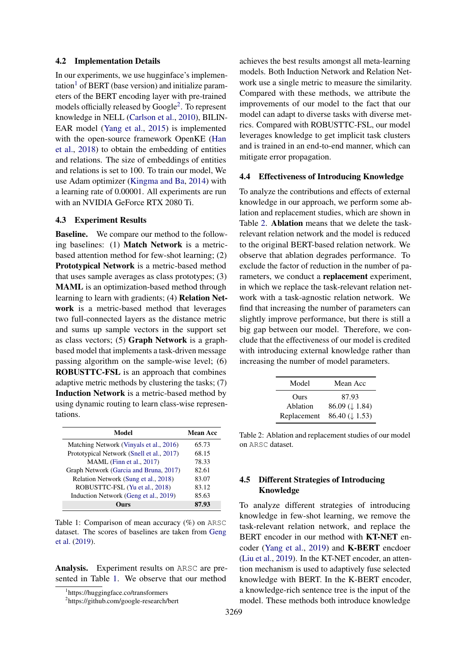#### 4.2 Implementation Details

In our experiments, we use hugginface's implemen-tation<sup>[1](#page-3-0)</sup> of BERT (base version) and initialize parameters of the BERT encoding layer with pre-trained models officially released by Google<sup>[2](#page-3-1)</sup>. To represent knowledge in NELL [\(Carlson et al.,](#page-4-9) [2010\)](#page-4-9), BILIN-EAR model [\(Yang et al.,](#page-5-5) [2015\)](#page-5-5) is implemented with the open-source framework OpenKE [\(Han](#page-4-12) [et al.,](#page-4-12) [2018\)](#page-4-12) to obtain the embedding of entities and relations. The size of embeddings of entities and relations is set to 100. To train our model, We use Adam optimizer [\(Kingma and Ba,](#page-4-13) [2014\)](#page-4-13) with a learning rate of 0.00001. All experiments are run with an NVIDIA GeForce RTX 2080 Ti.

## 4.3 Experiment Results

Baseline. We compare our method to the following baselines: (1) Match Network is a metricbased attention method for few-shot learning; (2) Prototypical Network is a metric-based method that uses sample averages as class prototypes; (3) MAML is an optimization-based method through learning to learn with gradients; (4) Relation Network is a metric-based method that leverages two full-connected layers as the distance metric and sums up sample vectors in the support set as class vectors; (5) Graph Network is a graphbased model that implements a task-driven message passing algorithm on the sample-wise level; (6) ROBUSTTC-FSL is an approach that combines adaptive metric methods by clustering the tasks; (7) Induction Network is a metric-based method by using dynamic routing to learn class-wise representations.

<span id="page-3-2"></span>

| Model                                     | <b>Mean Acc</b> |
|-------------------------------------------|-----------------|
| Matching Network (Vinyals et al., 2016)   | 65.73           |
| Prototypical Network (Snell et al., 2017) | 68.15           |
| MAML (Finn et al., 2017)                  | 78.33           |
| Graph Network (Garcia and Bruna, 2017)    | 82.61           |
| Relation Network (Sung et al., 2018)      | 83.07           |
| ROBUSTTC-FSL (Yu et al., 2018)            | 83.12           |
| Induction Network (Geng et al., 2019)     | 85.63           |
|                                           | 87.93           |

Table 1: Comparison of mean accuracy (%) on ARSC dataset. The scores of baselines are taken from [Geng](#page-4-4) [et al.](#page-4-4) [\(2019\)](#page-4-4).

Analysis. Experiment results on ARSC are presented in Table [1.](#page-3-2) We observe that our method

achieves the best results amongst all meta-learning models. Both Induction Network and Relation Network use a single metric to measure the similarity. Compared with these methods, we attribute the improvements of our model to the fact that our model can adapt to diverse tasks with diverse metrics. Compared with ROBUSTTC-FSL, our model leverages knowledge to get implicit task clusters and is trained in an end-to-end manner, which can mitigate error propagation.

#### 4.4 Effectiveness of Introducing Knowledge

To analyze the contributions and effects of external knowledge in our approach, we perform some ablation and replacement studies, which are shown in Table [2.](#page-3-3) Ablation means that we delete the taskrelevant relation network and the model is reduced to the original BERT-based relation network. We observe that ablation degrades performance. To exclude the factor of reduction in the number of parameters, we conduct a replacement experiment, in which we replace the task-relevant relation network with a task-agnostic relation network. We find that increasing the number of parameters can slightly improve performance, but there is still a big gap between our model. Therefore, we conclude that the effectiveness of our model is credited with introducing external knowledge rather than increasing the number of model parameters.

<span id="page-3-3"></span>

| Model       | Mean Acc                    |
|-------------|-----------------------------|
| Ours        | 87.93                       |
| Ablation    | $86.09 \ (\downarrow 1.84)$ |
| Replacement | $86.40 \ (\downarrow 1.53)$ |

Table 2: Ablation and replacement studies of our model on ARSC dataset.

# 4.5 Different Strategies of Introducing Knowledge

To analyze different strategies of introducing knowledge in few-shot learning, we remove the task-relevant relation network, and replace the BERT encoder in our method with KT-NET encoder [\(Yang et al.,](#page-5-7) [2019\)](#page-5-7) and K-BERT encdoer [\(Liu et al.,](#page-5-8) [2019\)](#page-5-8). In the KT-NET encoder, an attention mechanism is used to adaptively fuse selected knowledge with BERT. In the K-BERT encoder, a knowledge-rich sentence tree is the input of the model. These methods both introduce knowledge

<span id="page-3-0"></span><sup>1</sup> https://huggingface.co/transformers

<span id="page-3-1"></span><sup>&</sup>lt;sup>2</sup>https://github.com/google-research/bert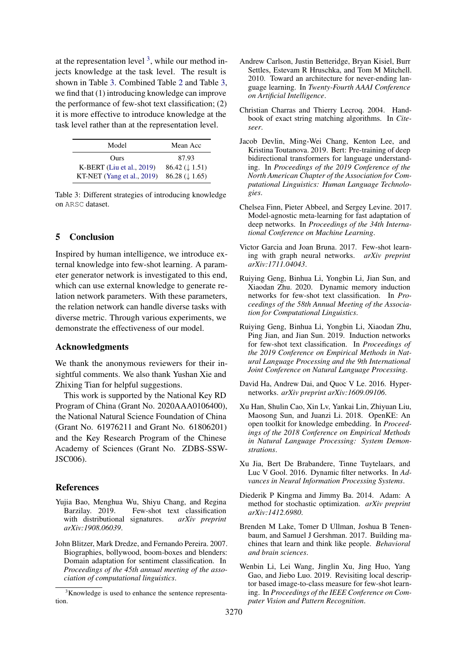at the representation level  $3$ , while our method injects knowledge at the task level. The result is shown in Table [3.](#page-4-16) Combined Table [2](#page-3-3) and Table [3,](#page-4-16) we find that (1) introducing knowledge can improve the performance of few-shot text classification; (2) it is more effective to introduce knowledge at the task level rather than at the representation level.

<span id="page-4-16"></span>

| Model                         | Mean Acc                    |
|-------------------------------|-----------------------------|
| Ours                          | 87.93                       |
| $K-BERT$ (Liu et al., 2019)   | $86.42 \ (\downarrow 1.51)$ |
| KT-NET (Yang et al., $2019$ ) | $86.28 \ (\downarrow 1.65)$ |

Table 3: Different strategies of introducing knowledge on ARSC dataset.

# 5 Conclusion

Inspired by human intelligence, we introduce external knowledge into few-shot learning. A parameter generator network is investigated to this end, which can use external knowledge to generate relation network parameters. With these parameters, the relation network can handle diverse tasks with diverse metric. Through various experiments, we demonstrate the effectiveness of our model.

# Acknowledgments

We thank the anonymous reviewers for their insightful comments. We also thank Yushan Xie and Zhixing Tian for helpful suggestions.

This work is supported by the National Key RD Program of China (Grant No. 2020AAA0106400), the National Natural Science Foundation of China (Grant No. 61976211 and Grant No. 61806201) and the Key Research Program of the Chinese Academy of Sciences (Grant No. ZDBS-SSW-JSC006).

## References

- <span id="page-4-2"></span>Yujia Bao, Menghua Wu, Shiyu Chang, and Regina Barzilay. 2019. Few-shot text classification with distributional signatures. *arXiv preprint arXiv:1908.06039*.
- <span id="page-4-11"></span>John Blitzer, Mark Dredze, and Fernando Pereira. 2007. Biographies, bollywood, boom-boxes and blenders: Domain adaptation for sentiment classification. In *Proceedings of the 45th annual meeting of the association of computational linguistics*.
- <span id="page-4-9"></span>Andrew Carlson, Justin Betteridge, Bryan Kisiel, Burr Settles, Estevam R Hruschka, and Tom M Mitchell. 2010. Toward an architecture for never-ending language learning. In *Twenty-Fourth AAAI Conference on Artificial Intelligence*.
- <span id="page-4-10"></span>Christian Charras and Thierry Lecroq. 2004. Handbook of exact string matching algorithms. In *Citeseer*.
- <span id="page-4-8"></span>Jacob Devlin, Ming-Wei Chang, Kenton Lee, and Kristina Toutanova. 2019. Bert: Pre-training of deep bidirectional transformers for language understanding. In *Proceedings of the 2019 Conference of the North American Chapter of the Association for Computational Linguistics: Human Language Technologies*.
- <span id="page-4-0"></span>Chelsea Finn, Pieter Abbeel, and Sergey Levine. 2017. Model-agnostic meta-learning for fast adaptation of deep networks. In *Proceedings of the 34th International Conference on Machine Learning*.
- <span id="page-4-14"></span>Victor Garcia and Joan Bruna. 2017. Few-shot learning with graph neural networks. *arXiv preprint arXiv:1711.04043*.
- <span id="page-4-5"></span>Ruiying Geng, Binhua Li, Yongbin Li, Jian Sun, and Xiaodan Zhu. 2020. Dynamic memory induction networks for few-shot text classification. In *Proceedings of the 58th Annual Meeting of the Association for Computational Linguistics*.
- <span id="page-4-4"></span>Ruiying Geng, Binhua Li, Yongbin Li, Xiaodan Zhu, Ping Jian, and Jian Sun. 2019. Induction networks for few-shot text classification. In *Proceedings of the 2019 Conference on Empirical Methods in Natural Language Processing and the 9th International Joint Conference on Natural Language Processing*.
- <span id="page-4-6"></span>David Ha, Andrew Dai, and Quoc V Le. 2016. Hypernetworks. *arXiv preprint arXiv:1609.09106*.
- <span id="page-4-12"></span>Xu Han, Shulin Cao, Xin Lv, Yankai Lin, Zhiyuan Liu, Maosong Sun, and Juanzi Li. 2018. OpenKE: An open toolkit for knowledge embedding. In *Proceedings of the 2018 Conference on Empirical Methods in Natural Language Processing: System Demonstrations*.
- <span id="page-4-7"></span>Xu Jia, Bert De Brabandere, Tinne Tuytelaars, and Luc V Gool. 2016. Dynamic filter networks. In *Advances in Neural Information Processing Systems*.
- <span id="page-4-13"></span>Diederik P Kingma and Jimmy Ba. 2014. Adam: A method for stochastic optimization. *arXiv preprint arXiv:1412.6980*.
- <span id="page-4-3"></span>Brenden M Lake, Tomer D Ullman, Joshua B Tenenbaum, and Samuel J Gershman. 2017. Building machines that learn and think like people. *Behavioral and brain sciences*.
- <span id="page-4-1"></span>Wenbin Li, Lei Wang, Jinglin Xu, Jing Huo, Yang Gao, and Jiebo Luo. 2019. Revisiting local descriptor based image-to-class measure for few-shot learning. In *Proceedings of the IEEE Conference on Computer Vision and Pattern Recognition*.

<span id="page-4-15"></span><sup>&</sup>lt;sup>3</sup>Knowledge is used to enhance the sentence representation.